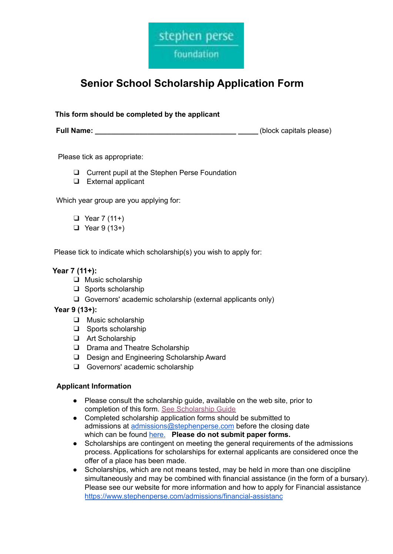

# **Senior School Scholarship Application Form**

|  | This form should be completed by the applicant |  |  |
|--|------------------------------------------------|--|--|
|  |                                                |  |  |

**Full Name: \_\_\_\_\_\_\_\_\_\_\_\_\_\_\_\_\_\_\_\_\_\_\_\_\_\_\_\_\_\_\_\_\_\_\_ \_\_\_\_\_** (block capitals please)

Please tick as appropriate:

- ❑ Current pupil at the Stephen Perse Foundation
- ❑ External applicant

Which year group are you applying for:

- ❑ Year 7 (11+)
- ❑ Year 9 (13+)

Please tick to indicate which scholarship(s) you wish to apply for:

#### **Year 7 (11+):**

- ❑ Music scholarship
- ❑ Sports scholarship
- ❑ Governors' academic scholarship (external applicants only)

#### **Year 9 (13+):**

- ❑ Music scholarship
- ❑ Sports scholarship
- ❑ Art Scholarship
- ❑ Drama and Theatre Scholarship
- ❑ Design and Engineering Scholarship Award
- ❑ Governors' academic scholarship

#### **Applicant Information**

- Please consult the scholarship guide, available on the web site, prior to completion of this form. See Scholarship Guide
- Completed scholarship application forms should be submitted to admissions at [admissions@stephenperse.com](mailto:admissions@stephenperse.com) before the closing date which can be found [here.](https://www.stephenperse.com/page/?title=Joining+Senior+School+%2811%2D16%29&pid=181) **Please do not submit paper forms.**
- Scholarships are contingent on meeting the general requirements of the admissions process. Applications for scholarships for external applicants are considered once the offer of a place has been made.
- Scholarships, which are not means tested, may be held in more than one discipline simultaneously and may be combined with financial assistance (in the form of a bursary). Please see our website for more information and how to apply for Financial assistance [https://www.stephenperse.com/admissions/financial-assistanc](http://www.stephenperse.com/admissions/financial-assistance)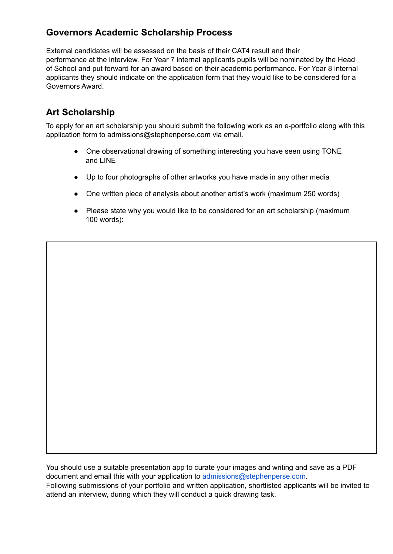### **Governors Academic Scholarship Process**

External candidates will be assessed on the basis of their CAT4 result and their performance at the interview. For Year 7 internal applicants pupils will be nominated by the Head of School and put forward for an award based on their academic performance. For Year 8 internal applicants they should indicate on the application form that they would like to be considered for a Governors Award.

## **Art Scholarship**

To apply for an art scholarship you should submit the following work as an e-portfolio along with this application form to admissions@stephenperse.com via email.

- One observational drawing of something interesting you have seen using TONE and LINE
- Up to four photographs of other artworks you have made in any other media
- One written piece of analysis about another artist's work (maximum 250 words)
- Please state why you would like to be considered for an art scholarship (maximum 100 words):

You should use a suitable presentation app to curate your images and writing and save as a PDF document and email this with your application to admissions@stephenperse.com. Following submissions of your portfolio and written application, shortlisted applicants will be invited to attend an interview, during which they will conduct a quick drawing task.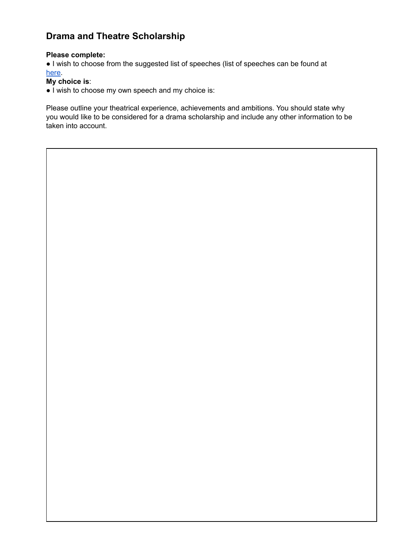### **Drama and Theatre Scholarship**

#### **Please complete:**

● I wish to choose from the suggested list of speeches (list of speeches can be found at [here](https://www.stephenperse.com/page/?title=13%2B+Drama+scholarship+speeches%26%23160%3B&pid=1178).

#### **My choice is**:

● I wish to choose my own speech and my choice is:

Please outline your theatrical experience, achievements and ambitions. You should state why you would like to be considered for a drama scholarship and include any other information to be taken into account.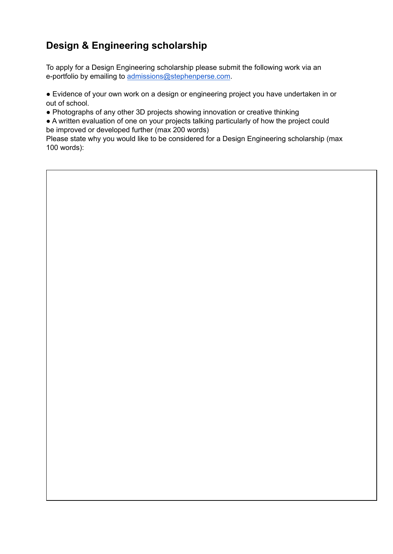# **Design & Engineering scholarship**

To apply for a Design Engineering scholarship please submit the following work via an e-portfolio by emailing to [admissions@stephenperse.com](mailto:admissions@stephenperse.com).

• Evidence of your own work on a design or engineering project you have undertaken in or out of school.

● Photographs of any other 3D projects showing innovation or creative thinking

● A written evaluation of one on your projects talking particularly of how the project could be improved or developed further (max 200 words)

Please state why you would like to be considered for a Design Engineering scholarship (max 100 words):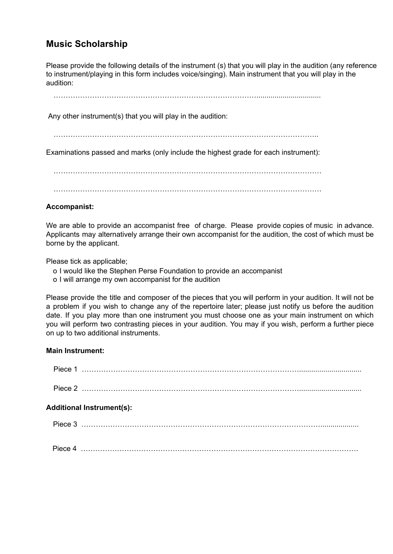### **Music Scholarship**

Please provide the following details of the instrument (s) that you will play in the audition (any reference to instrument/playing in this form includes voice/singing). Main instrument that you will play in the audition:

…………………………………………………………………………................................

Any other instrument(s) that you will play in the audition:

………………………………………………………………………………………………..

Examinations passed and marks (only include the highest grade for each instrument):

…………………………………………………………………………………………………

…………………………………………………………………………………………………

#### **Accompanist:**

We are able to provide an accompanist free of charge. Please provide copies of music in advance. Applicants may alternatively arrange their own accompanist for the audition, the cost of which must be borne by the applicant.

Please tick as applicable;

- o I would like the Stephen Perse Foundation to provide an accompanist
- o I will arrange my own accompanist for the audition

Please provide the title and composer of the pieces that you will perform in your audition. It will not be a problem if you wish to change any of the repertoire later; please just notify us before the audition date. If you play more than one instrument you must choose one as your main instrument on which you will perform two contrasting pieces in your audition. You may if you wish, perform a further piece on up to two additional instruments.

#### **Main Instrument:**

| <b>Additional Instrument(s):</b> |
|----------------------------------|
|                                  |
|                                  |